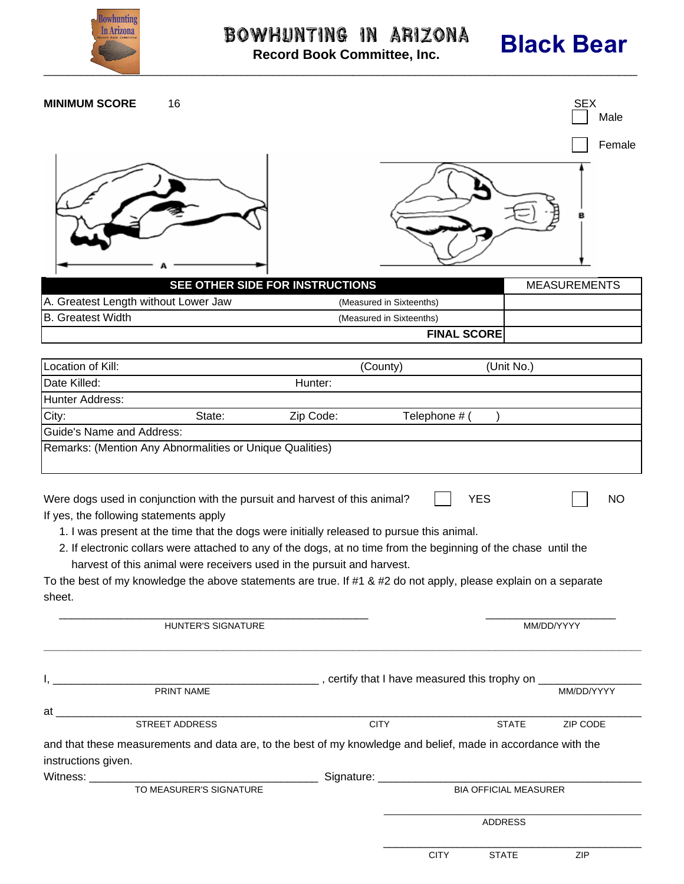

# Bowhunting in Arizona

## **Black Bear**

\_

 $\frac{1}{2}$  , and the contribution of the contribution of the contribution of the contribution of the contribution of the contribution of the contribution of the contribution of the contribution of the contribution of the c CITY STATE ZIP

**Record Book Committee, Inc.**

| <b>MINIMUM SCORE</b>                                                                                                                            | 16                        |                                                                                                                |                              |              | <b>SEX</b><br>Male<br>Female |
|-------------------------------------------------------------------------------------------------------------------------------------------------|---------------------------|----------------------------------------------------------------------------------------------------------------|------------------------------|--------------|------------------------------|
|                                                                                                                                                 |                           |                                                                                                                |                              |              |                              |
|                                                                                                                                                 |                           | SEE OTHER SIDE FOR INSTRUCTIONS                                                                                |                              |              | <b>MEASUREMENTS</b>          |
| A. Greatest Length without Lower Jaw                                                                                                            |                           |                                                                                                                | (Measured in Sixteenths)     |              |                              |
| <b>B.</b> Greatest Width                                                                                                                        |                           |                                                                                                                | (Measured in Sixteenths)     |              |                              |
|                                                                                                                                                 |                           |                                                                                                                | <b>FINAL SCORE</b>           |              |                              |
| Location of Kill:                                                                                                                               |                           |                                                                                                                | (County)                     | (Unit No.)   |                              |
| Date Killed:                                                                                                                                    |                           | Hunter:                                                                                                        |                              |              |                              |
| <b>Hunter Address:</b>                                                                                                                          |                           |                                                                                                                |                              |              |                              |
| City:                                                                                                                                           | State:                    | Zip Code:                                                                                                      | Telephone # (                |              |                              |
| <b>Guide's Name and Address:</b>                                                                                                                |                           |                                                                                                                |                              |              |                              |
| Remarks: (Mention Any Abnormalities or Unique Qualities)                                                                                        |                           |                                                                                                                |                              |              |                              |
| <b>YES</b><br>Were dogs used in conjunction with the pursuit and harvest of this animal?<br><b>NO</b><br>If yes, the following statements apply |                           |                                                                                                                |                              |              |                              |
| 1. I was present at the time that the dogs were initially released to pursue this animal.                                                       |                           |                                                                                                                |                              |              |                              |
| 2. If electronic collars were attached to any of the dogs, at no time from the beginning of the chase until the                                 |                           |                                                                                                                |                              |              |                              |
| harvest of this animal were receivers used in the pursuit and harvest.                                                                          |                           |                                                                                                                |                              |              |                              |
| To the best of my knowledge the above statements are true. If #1 & #2 do not apply, please explain on a separate                                |                           |                                                                                                                |                              |              |                              |
| sheet.                                                                                                                                          |                           |                                                                                                                |                              |              |                              |
|                                                                                                                                                 | <b>HUNTER'S SIGNATURE</b> |                                                                                                                |                              | MM/DD/YYYY   |                              |
|                                                                                                                                                 |                           | PRINT NAME THE RESERVE TO A RESERVE THE RESERVE THAT A REPORT OF THE RESERVE THE RESERVE THAT A RESERVE THAT A |                              |              |                              |
|                                                                                                                                                 |                           |                                                                                                                |                              |              |                              |
| at                                                                                                                                              | STREET ADDRESS            |                                                                                                                | <b>CITY</b>                  | <b>STATE</b> | ZIP CODE                     |
|                                                                                                                                                 |                           |                                                                                                                |                              |              |                              |
| and that these measurements and data are, to the best of my knowledge and belief, made in accordance with the<br>instructions given.            |                           |                                                                                                                |                              |              |                              |
|                                                                                                                                                 |                           |                                                                                                                |                              |              |                              |
|                                                                                                                                                 | TO MEASURER'S SIGNATURE   |                                                                                                                | <b>BIA OFFICIAL MEASURER</b> |              |                              |
|                                                                                                                                                 |                           |                                                                                                                |                              | ADDRESS      |                              |